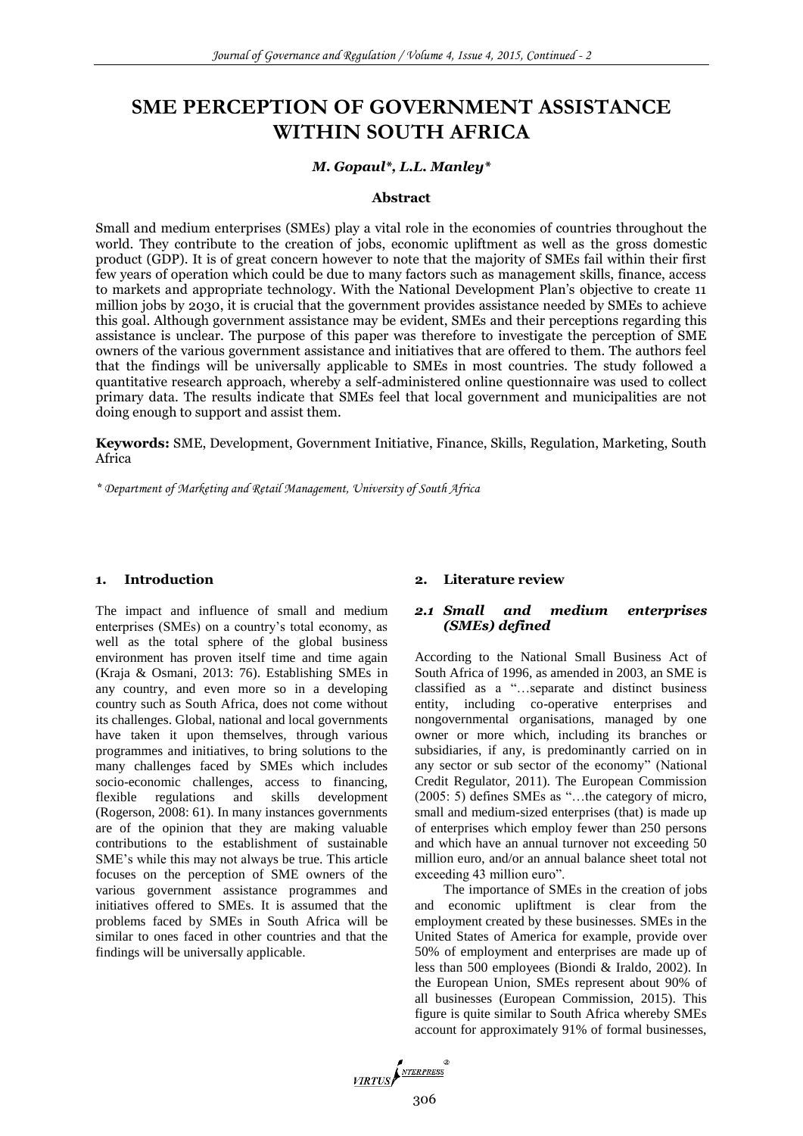# **SME PERCEPTION OF GOVERNMENT ASSISTANCE WITHIN SOUTH AFRICA**

#### *M. Gopaul\*, L.L. Manley\**

#### **Abstract**

Small and medium enterprises (SMEs) play a vital role in the economies of countries throughout the world. They contribute to the creation of jobs, economic upliftment as well as the gross domestic product (GDP). It is of great concern however to note that the majority of SMEs fail within their first few years of operation which could be due to many factors such as management skills, finance, access to markets and appropriate technology. With the National Development Plan's objective to create 11 million jobs by 2030, it is crucial that the government provides assistance needed by SMEs to achieve this goal. Although government assistance may be evident, SMEs and their perceptions regarding this assistance is unclear. The purpose of this paper was therefore to investigate the perception of SME owners of the various government assistance and initiatives that are offered to them. The authors feel that the findings will be universally applicable to SMEs in most countries. The study followed a quantitative research approach, whereby a self-administered online questionnaire was used to collect primary data. The results indicate that SMEs feel that local government and municipalities are not doing enough to support and assist them.

**Keywords:** SME, Development, Government Initiative, Finance, Skills, Regulation, Marketing, South Africa

*\* Department of Marketing and Retail Management, University of South Africa*

#### **1. Introduction**

The impact and influence of small and medium enterprises (SMEs) on a country's total economy, as well as the total sphere of the global business environment has proven itself time and time again (Kraja & Osmani, 2013: 76). Establishing SMEs in any country, and even more so in a developing country such as South Africa, does not come without its challenges. Global, national and local governments have taken it upon themselves, through various programmes and initiatives, to bring solutions to the many challenges faced by SMEs which includes socio-economic challenges, access to financing, flexible regulations and skills development (Rogerson, 2008: 61). In many instances governments are of the opinion that they are making valuable contributions to the establishment of sustainable SME's while this may not always be true. This article focuses on the perception of SME owners of the various government assistance programmes and initiatives offered to SMEs. It is assumed that the problems faced by SMEs in South Africa will be similar to ones faced in other countries and that the findings will be universally applicable.

#### **2. Literature review**

## *2.1 Small and medium enterprises (SMEs) defined*

According to the National Small Business Act of South Africa of 1996, as amended in 2003, an SME is classified as a "…separate and distinct business entity, including co-operative enterprises and nongovernmental organisations, managed by one owner or more which, including its branches or subsidiaries, if any, is predominantly carried on in any sector or sub sector of the economy" (National Credit Regulator, 2011). The European Commission (2005: 5) defines SMEs as "…the category of micro, small and medium-sized enterprises (that) is made up of enterprises which employ fewer than 250 persons and which have an annual turnover not exceeding 50 million euro, and/or an annual balance sheet total not exceeding 43 million euro".

The importance of SMEs in the creation of jobs and economic upliftment is clear from the employment created by these businesses. SMEs in the United States of America for example, provide over 50% of employment and enterprises are made up of less than 500 employees (Biondi & Iraldo, 2002). In the European Union, SMEs represent about 90% of all businesses (European Commission, 2015). This figure is quite similar to South Africa whereby SMEs account for approximately 91% of formal businesses,

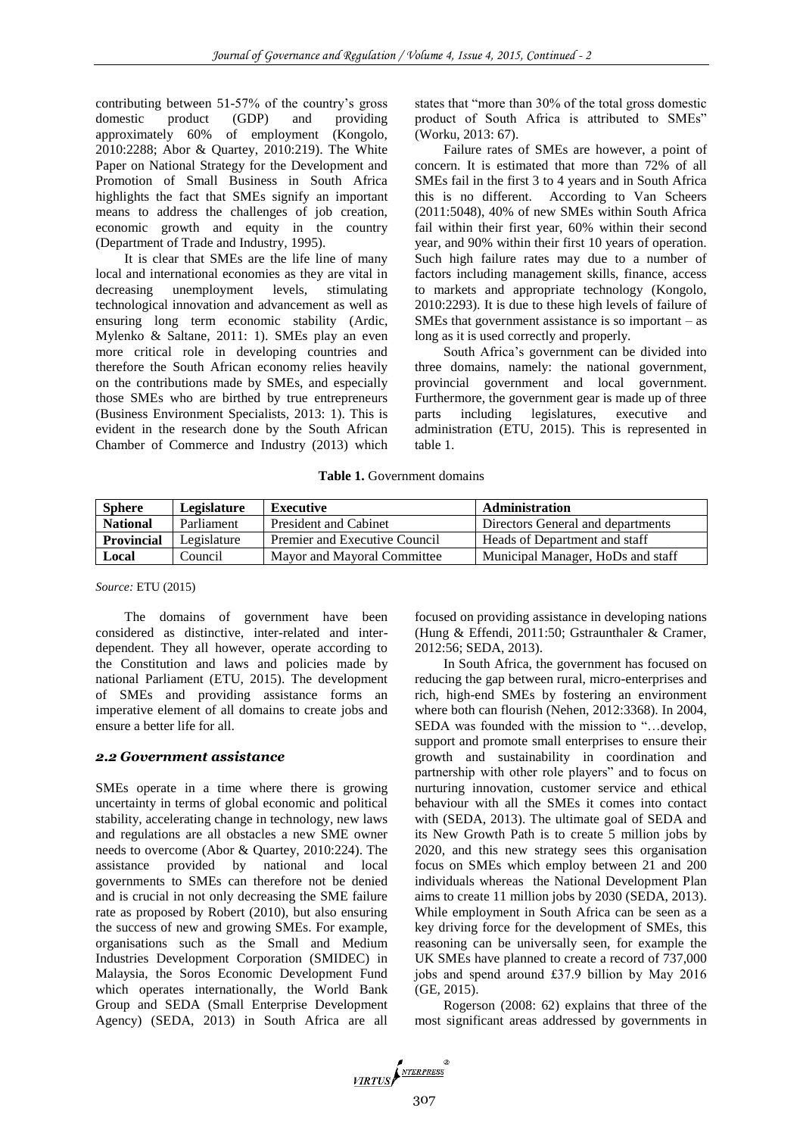contributing between 51-57% of the country's gross domestic product (GDP) and providing approximately 60% of employment (Kongolo, 2010:2288; Abor & Quartey, 2010:219). The White Paper on National Strategy for the Development and Promotion of Small Business in South Africa highlights the fact that SMEs signify an important means to address the challenges of job creation, economic growth and equity in the country (Department of Trade and Industry, 1995).

It is clear that SMEs are the life line of many local and international economies as they are vital in decreasing unemployment levels, stimulating technological innovation and advancement as well as ensuring long term economic stability (Ardic, Mylenko & Saltane, 2011: 1). SMEs play an even more critical role in developing countries and therefore the South African economy relies heavily on the contributions made by SMEs, and especially those SMEs who are birthed by true entrepreneurs (Business Environment Specialists, 2013: 1). This is evident in the research done by the South African Chamber of Commerce and Industry (2013) which

states that "more than 30% of the total gross domestic product of South Africa is attributed to SMEs" (Worku, 2013: 67).

Failure rates of SMEs are however, a point of concern. It is estimated that more than 72% of all SMEs fail in the first 3 to 4 years and in South Africa this is no different. According to Van Scheers (2011:5048), 40% of new SMEs within South Africa fail within their first year, 60% within their second year, and 90% within their first 10 years of operation. Such high failure rates may due to a number of factors including management skills, finance, access to markets and appropriate technology (Kongolo, 2010:2293). It is due to these high levels of failure of SMEs that government assistance is so important – as long as it is used correctly and properly.

South Africa's government can be divided into three domains, namely: the national government, provincial government and local government. Furthermore, the government gear is made up of three parts including legislatures, executive and administration (ETU, 2015). This is represented in table 1.

**Table 1.** Government domains

| <b>Sphere</b>     | Legislature | Executive                     | <b>Administration</b>             |
|-------------------|-------------|-------------------------------|-----------------------------------|
| <b>National</b>   | Parliament  | <b>President and Cabinet</b>  | Directors General and departments |
| <b>Provincial</b> | Legislature | Premier and Executive Council | Heads of Department and staff     |
| Local             | Council     | Mayor and Mayoral Committee   | Municipal Manager, HoDs and staff |

*Source:* ETU (2015)

The domains of government have been considered as distinctive, inter-related and interdependent. They all however, operate according to the Constitution and laws and policies made by national Parliament (ETU, 2015). The development of SMEs and providing assistance forms an imperative element of all domains to create jobs and ensure a better life for all.

#### *2.2 Government assistance*

SMEs operate in a time where there is growing uncertainty in terms of global economic and political stability, accelerating change in technology, new laws and regulations are all obstacles a new SME owner needs to overcome (Abor & Quartey, 2010:224). The assistance provided by national and local governments to SMEs can therefore not be denied and is crucial in not only decreasing the SME failure rate as proposed by Robert (2010), but also ensuring the success of new and growing SMEs. For example, organisations such as the Small and Medium Industries Development Corporation (SMIDEC) in Malaysia, the Soros Economic Development Fund which operates internationally, the World Bank Group and SEDA (Small Enterprise Development Agency) (SEDA, 2013) in South Africa are all focused on providing assistance in developing nations (Hung & Effendi, 2011:50; Gstraunthaler & Cramer, 2012:56; SEDA, 2013).

In South Africa, the government has focused on reducing the gap between rural, micro-enterprises and rich, high-end SMEs by fostering an environment where both can flourish (Nehen, 2012:3368). In 2004, SEDA was founded with the mission to "…develop, support and promote small enterprises to ensure their growth and sustainability in coordination and partnership with other role players" and to focus on nurturing innovation, customer service and ethical behaviour with all the SMEs it comes into contact with (SEDA, 2013). The ultimate goal of SEDA and its New Growth Path is to create 5 million jobs by 2020, and this new strategy sees this organisation focus on SMEs which employ between 21 and 200 individuals whereas the National Development Plan aims to create 11 million jobs by 2030 (SEDA, 2013). While employment in South Africa can be seen as a key driving force for the development of SMEs, this reasoning can be universally seen, for example the UK SMEs have planned to create a record of 737,000 jobs and spend around £37.9 billion by May 2016 (GE, 2015).

Rogerson (2008: 62) explains that three of the most significant areas addressed by governments in

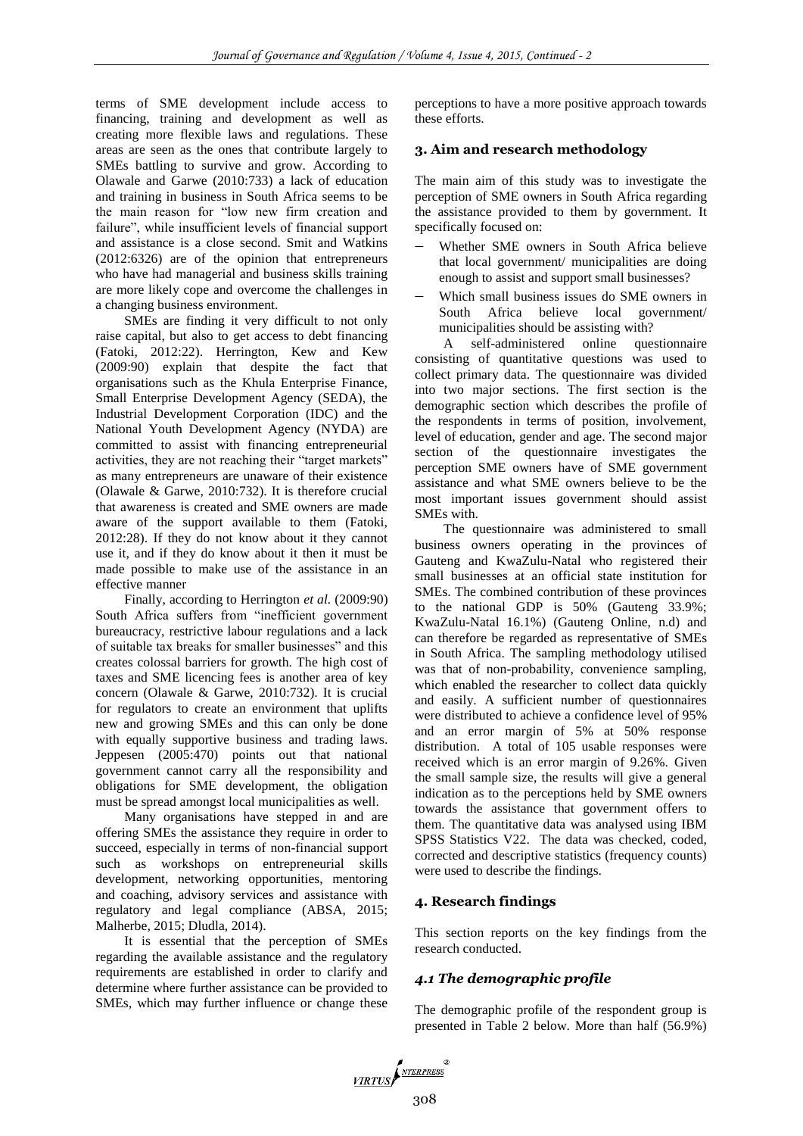terms of SME development include access to financing, training and development as well as creating more flexible laws and regulations. These areas are seen as the ones that contribute largely to SMEs battling to survive and grow. According to Olawale and Garwe (2010:733) a lack of education and training in business in South Africa seems to be the main reason for "low new firm creation and failure", while insufficient levels of financial support and assistance is a close second. Smit and Watkins (2012:6326) are of the opinion that entrepreneurs who have had managerial and business skills training are more likely cope and overcome the challenges in a changing business environment.

SMEs are finding it very difficult to not only raise capital, but also to get access to debt financing (Fatoki, 2012:22). Herrington, Kew and Kew (2009:90) explain that despite the fact that organisations such as the Khula Enterprise Finance, Small Enterprise Development Agency (SEDA), the Industrial Development Corporation (IDC) and the National Youth Development Agency (NYDA) are committed to assist with financing entrepreneurial activities, they are not reaching their "target markets" as many entrepreneurs are unaware of their existence (Olawale & Garwe, 2010:732). It is therefore crucial that awareness is created and SME owners are made aware of the support available to them (Fatoki, 2012:28). If they do not know about it they cannot use it, and if they do know about it then it must be made possible to make use of the assistance in an effective manner

Finally, according to Herrington *et al.* (2009:90) South Africa suffers from "inefficient government bureaucracy, restrictive labour regulations and a lack of suitable tax breaks for smaller businesses" and this creates colossal barriers for growth. The high cost of taxes and SME licencing fees is another area of key concern (Olawale & Garwe, 2010:732). It is crucial for regulators to create an environment that uplifts new and growing SMEs and this can only be done with equally supportive business and trading laws. Jeppesen (2005:470) points out that national government cannot carry all the responsibility and obligations for SME development, the obligation must be spread amongst local municipalities as well.

Many organisations have stepped in and are offering SMEs the assistance they require in order to succeed, especially in terms of non-financial support such as workshops on entrepreneurial skills development, networking opportunities, mentoring and coaching, advisory services and assistance with regulatory and legal compliance (ABSA, 2015; Malherbe, 2015; Dludla, 2014).

It is essential that the perception of SMEs regarding the available assistance and the regulatory requirements are established in order to clarify and determine where further assistance can be provided to SMEs, which may further influence or change these

perceptions to have a more positive approach towards these efforts.

## **3. Aim and research methodology**

The main aim of this study was to investigate the perception of SME owners in South Africa regarding the assistance provided to them by government. It specifically focused on:

- Whether SME owners in South Africa believe that local government/ municipalities are doing enough to assist and support small businesses?
- Which small business issues do SME owners in South Africa believe local government/ municipalities should be assisting with?

A self-administered online questionnaire consisting of quantitative questions was used to collect primary data. The questionnaire was divided into two major sections. The first section is the demographic section which describes the profile of the respondents in terms of position, involvement, level of education, gender and age. The second major section of the questionnaire investigates the perception SME owners have of SME government assistance and what SME owners believe to be the most important issues government should assist SMEs with.

The questionnaire was administered to small business owners operating in the provinces of Gauteng and KwaZulu-Natal who registered their small businesses at an official state institution for SMEs. The combined contribution of these provinces to the national GDP is 50% (Gauteng 33.9%; KwaZulu-Natal 16.1%) (Gauteng Online, n.d) and can therefore be regarded as representative of SMEs in South Africa. The sampling methodology utilised was that of non-probability, convenience sampling, which enabled the researcher to collect data quickly and easily. A sufficient number of questionnaires were distributed to achieve a confidence level of 95% and an error margin of 5% at 50% response distribution. A total of 105 usable responses were received which is an error margin of 9.26%. Given the small sample size, the results will give a general indication as to the perceptions held by SME owners towards the assistance that government offers to them. The quantitative data was analysed using IBM SPSS Statistics V22. The data was checked, coded, corrected and descriptive statistics (frequency counts) were used to describe the findings.

## **4. Research findings**

This section reports on the key findings from the research conducted.

## *4.1 The demographic profile*

The demographic profile of the respondent group is presented in Table 2 below. More than half (56.9%)

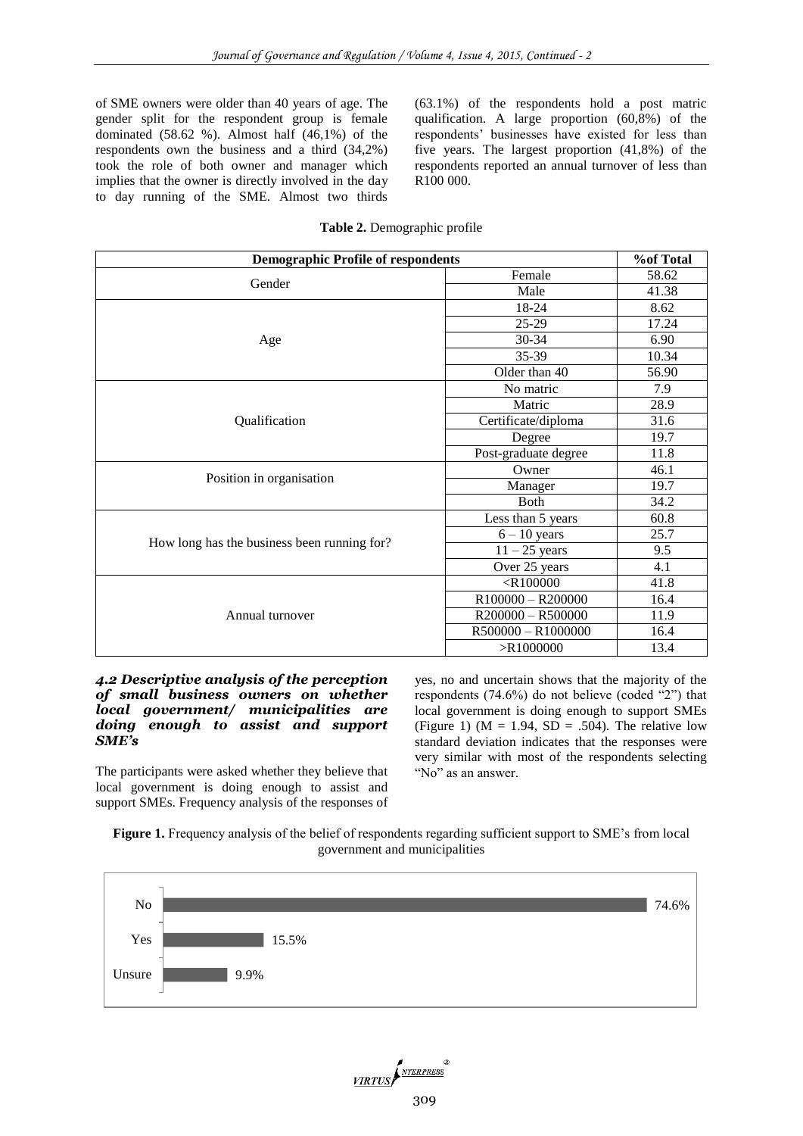of SME owners were older than 40 years of age. The gender split for the respondent group is female dominated (58.62 %). Almost half (46,1%) of the respondents own the business and a third (34,2%) took the role of both owner and manager which implies that the owner is directly involved in the day to day running of the SME. Almost two thirds (63.1%) of the respondents hold a post matric qualification. A large proportion (60,8%) of the respondents' businesses have existed for less than five years. The largest proportion (41,8%) of the respondents reported an annual turnover of less than R100 000.

| <b>Demographic Profile of respondents</b>   |                      | <b>%of Total</b> |
|---------------------------------------------|----------------------|------------------|
|                                             | Female               | 58.62            |
| Gender                                      | Male                 | 41.38            |
|                                             | 18-24                | 8.62             |
|                                             | 25-29                | 17.24            |
| Age                                         | $30 - 34$            | 6.90             |
|                                             | 35-39                | 10.34            |
|                                             | Older than 40        | 56.90            |
|                                             | No matric            | 7.9              |
|                                             | Matric               | 28.9             |
| Qualification                               | Certificate/diploma  | 31.6             |
|                                             | Degree               | 19.7             |
|                                             | Post-graduate degree | 11.8             |
|                                             | Owner                | 46.1             |
| Position in organisation                    | Manager              | 19.7             |
|                                             | Both                 | 34.2             |
|                                             | Less than 5 years    | 60.8             |
|                                             | $6 - 10$ years       | 25.7             |
| How long has the business been running for? | $11 - 25$ years      | 9.5              |
|                                             | Over 25 years        | 4.1              |
|                                             | $<$ R100000          | 41.8             |
|                                             | R100000 - R200000    | 16.4             |
| Annual turnover                             | $R200000 - R500000$  | 11.9             |
|                                             | R500000 - R1000000   | 16.4             |

## **Table 2.** Demographic profile

#### *4.2 Descriptive analysis of the perception of small business owners on whether local government/ municipalities are doing enough to assist and support SME's*

The participants were asked whether they believe that local government is doing enough to assist and support SMEs. Frequency analysis of the responses of

yes, no and uncertain shows that the majority of the respondents (74.6%) do not believe (coded "2") that local government is doing enough to support SMEs (Figure 1) ( $M = 1.94$ ,  $SD = .504$ ). The relative low standard deviation indicates that the responses were very similar with most of the respondents selecting "No" as an answer.

>R1000000 13.4



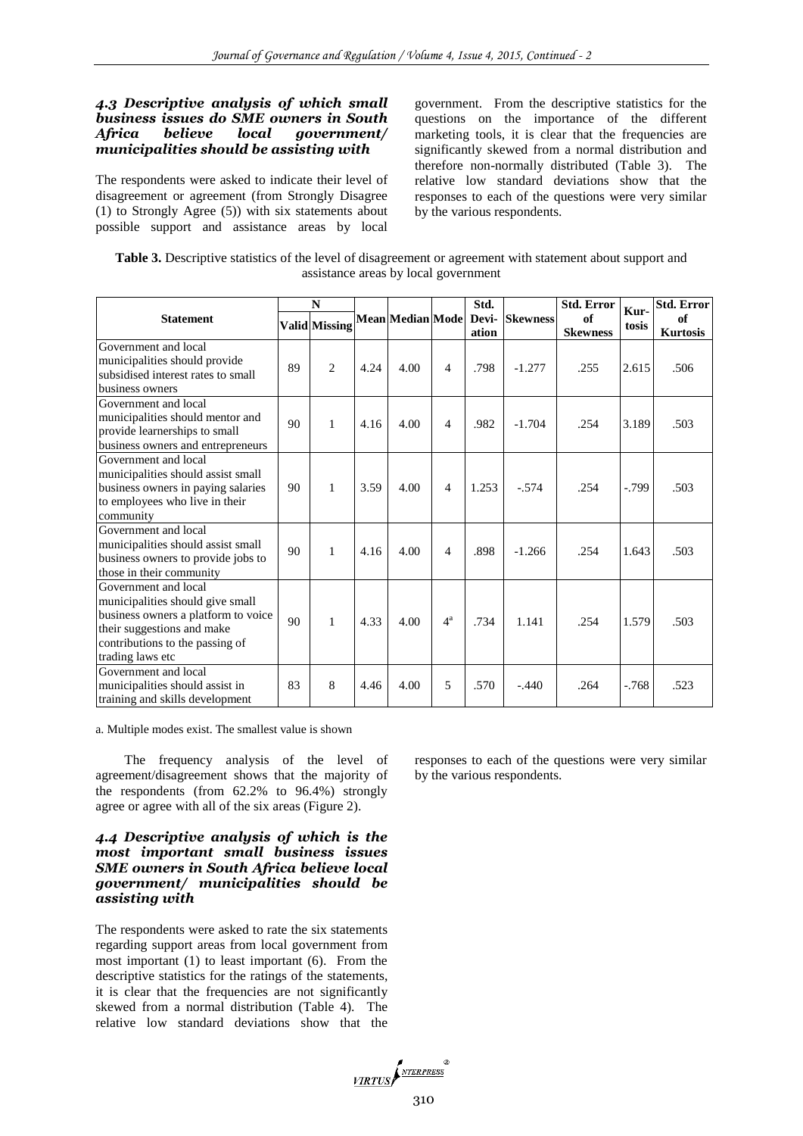## *4.3 Descriptive analysis of which small business issues do SME owners in South Africa believe local government/ municipalities should be assisting with*

The respondents were asked to indicate their level of disagreement or agreement (from Strongly Disagree (1) to Strongly Agree (5)) with six statements about possible support and assistance areas by local

government. From the descriptive statistics for the questions on the importance of the different marketing tools, it is clear that the frequencies are significantly skewed from a normal distribution and therefore non-normally distributed (Table 3). The relative low standard deviations show that the responses to each of the questions were very similar by the various respondents.

| Table 3. Descriptive statistics of the level of disagreement or agreement with statement about support and |
|------------------------------------------------------------------------------------------------------------|
| assistance areas by local government                                                                       |

|                                                                                                                                                                                      | N  |                      |      |      |                          | Std.<br>ation | Mean Median Mode Devi- Skewness | <b>Std. Error</b><br>of<br><b>Skewness</b> | Kur-<br>tosis | <b>Std. Error</b>     |
|--------------------------------------------------------------------------------------------------------------------------------------------------------------------------------------|----|----------------------|------|------|--------------------------|---------------|---------------------------------|--------------------------------------------|---------------|-----------------------|
| <b>Statement</b>                                                                                                                                                                     |    | <b>Valid</b> Missing |      |      |                          |               |                                 |                                            |               | of<br><b>Kurtosis</b> |
| Government and local<br>municipalities should provide<br>subsidised interest rates to small<br>business owners                                                                       | 89 | $\overline{c}$       | 4.24 | 4.00 | $\overline{4}$           | .798          | $-1.277$                        | .255                                       | 2.615         | .506                  |
| Government and local<br>municipalities should mentor and<br>provide learnerships to small<br>business owners and entrepreneurs                                                       | 90 | $\mathbf{1}$         | 4.16 | 4.00 | $\overline{4}$           | .982          | $-1.704$                        | .254                                       | 3.189         | .503                  |
| Government and local<br>municipalities should assist small<br>business owners in paying salaries<br>to employees who live in their<br>community                                      | 90 | $\mathbf{1}$         | 3.59 | 4.00 | $\overline{4}$           | 1.253         | $-.574$                         | .254                                       | $-0.799$      | .503                  |
| Government and local<br>municipalities should assist small<br>business owners to provide jobs to<br>those in their community                                                         | 90 | $\mathbf{1}$         | 4.16 | 4.00 | $\overline{\mathcal{A}}$ | .898          | $-1.266$                        | .254                                       | 1.643         | .503                  |
| Government and local<br>municipalities should give small<br>business owners a platform to voice<br>their suggestions and make<br>contributions to the passing of<br>trading laws etc | 90 | $\mathbf{1}$         | 4.33 | 4.00 | $4^{\mathrm{a}}$         | .734          | 1.141                           | .254                                       | 1.579         | .503                  |
| Government and local<br>municipalities should assist in<br>training and skills development                                                                                           | 83 | 8                    | 4.46 | 4.00 | 5                        | .570          | $-.440$                         | .264                                       | $-.768$       | .523                  |

a. Multiple modes exist. The smallest value is shown

The frequency analysis of the level of agreement/disagreement shows that the majority of the respondents (from 62.2% to 96.4%) strongly agree or agree with all of the six areas (Figure 2).

## *4.4 Descriptive analysis of which is the most important small business issues SME owners in South Africa believe local government/ municipalities should be assisting with*

The respondents were asked to rate the six statements regarding support areas from local government from most important (1) to least important (6). From the descriptive statistics for the ratings of the statements, it is clear that the frequencies are not significantly skewed from a normal distribution (Table 4). The relative low standard deviations show that the

responses to each of the questions were very similar by the various respondents.

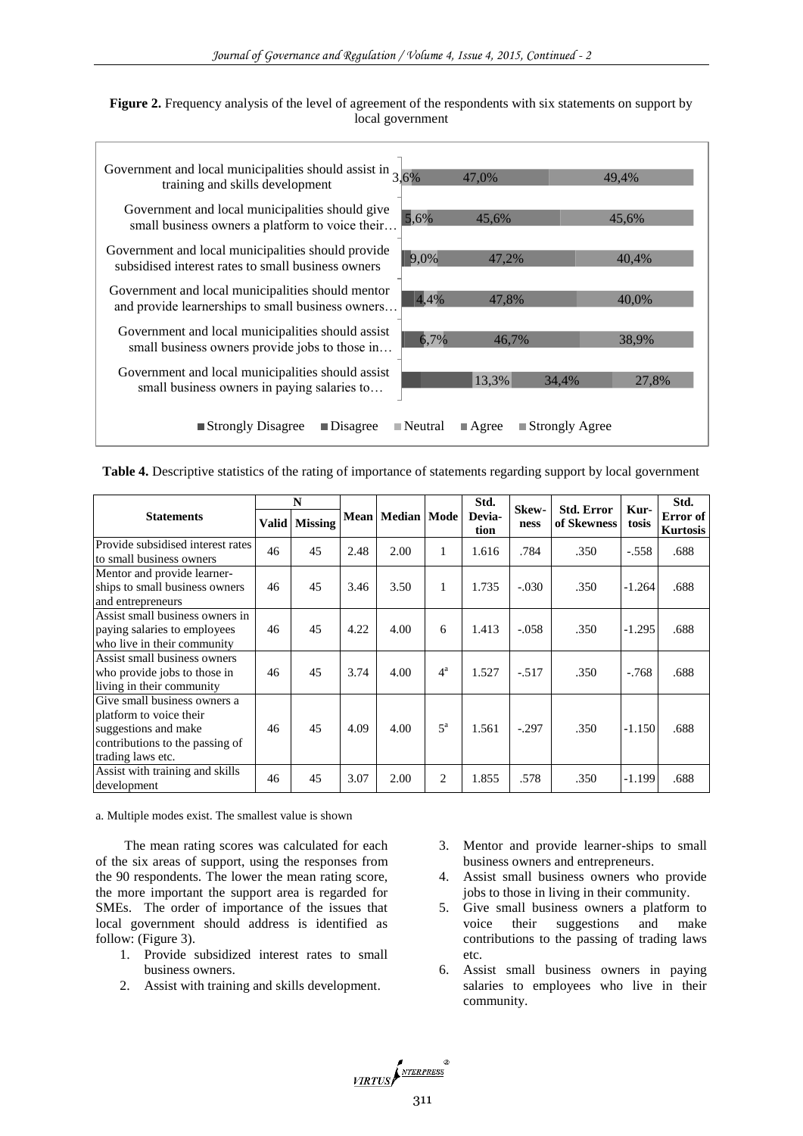| Figure 2. Frequency analysis of the level of agreement of the respondents with six statements on support by |  |
|-------------------------------------------------------------------------------------------------------------|--|
| local government                                                                                            |  |



**Table 4.** Descriptive statistics of the rating of importance of statements regarding support by local government

|                                                                                                                                         | N            |                |      |                      |                  | Std.           | Skew-   | <b>Std. Error</b> | Kur-     | Std.                        |  |
|-----------------------------------------------------------------------------------------------------------------------------------------|--------------|----------------|------|----------------------|------------------|----------------|---------|-------------------|----------|-----------------------------|--|
| <b>Statements</b>                                                                                                                       | <b>Valid</b> | <b>Missing</b> |      | Mean   Median   Mode |                  | Devia-<br>tion | ness    | of Skewness       | tosis    | Error of<br><b>Kurtosis</b> |  |
| Provide subsidised interest rates<br>to small business owners                                                                           | 46           | 45             | 2.48 | 2.00                 | 1                | 1.616          | .784    | .350              | $-.558$  | .688                        |  |
| Mentor and provide learner-<br>ships to small business owners<br>and entrepreneurs                                                      | 46           | 45             | 3.46 | 3.50                 | 1                | 1.735          | $-.030$ | .350              | $-1.264$ | .688                        |  |
| Assist small business owners in<br>paying salaries to employees<br>who live in their community                                          | 46           | 45             | 4.22 | 4.00                 | 6                | 1.413          | $-.058$ | .350              | $-1.295$ | .688                        |  |
| Assist small business owners<br>who provide jobs to those in<br>living in their community                                               | 46           | 45             | 3.74 | 4.00                 | $4^{\mathrm{a}}$ | 1.527          | $-.517$ | .350              | $-.768$  | .688                        |  |
| Give small business owners a<br>platform to voice their<br>suggestions and make<br>contributions to the passing of<br>trading laws etc. | 46           | 45             | 4.09 | 4.00                 | $5^{\mathrm{a}}$ | 1.561          | $-.297$ | .350              | $-1.150$ | .688                        |  |
| Assist with training and skills<br>development                                                                                          | 46           | 45             | 3.07 | 2.00                 | $\overline{2}$   | 1.855          | .578    | .350              | $-1.199$ | .688                        |  |

a. Multiple modes exist. The smallest value is shown

The mean rating scores was calculated for each of the six areas of support, using the responses from the 90 respondents. The lower the mean rating score, the more important the support area is regarded for SMEs. The order of importance of the issues that local government should address is identified as follow: (Figure 3).

- 1. Provide subsidized interest rates to small business owners.
- 2. Assist with training and skills development.
- 3. Mentor and provide learner-ships to small business owners and entrepreneurs.
- 4. Assist small business owners who provide jobs to those in living in their community.
- 5. Give small business owners a platform to voice their suggestions and make contributions to the passing of trading laws etc.
- 6. Assist small business owners in paying salaries to employees who live in their community.

VIRTUS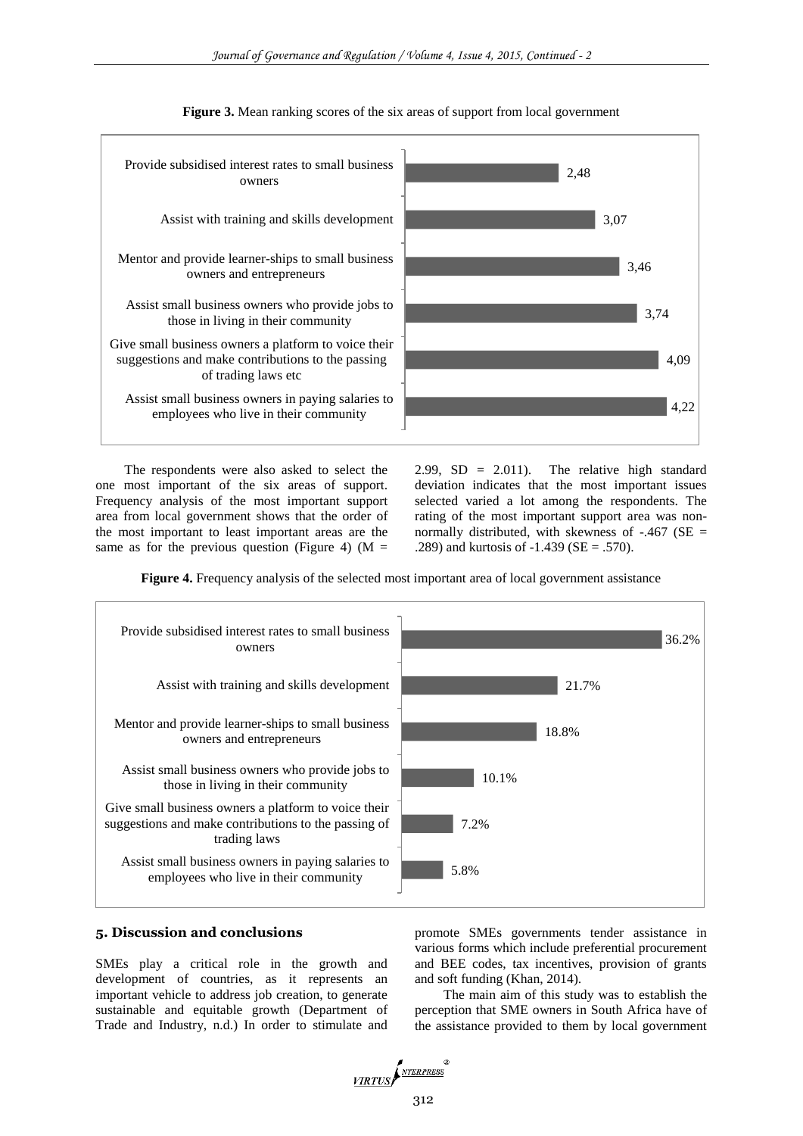

**Figure 3.** Mean ranking scores of the six areas of support from local government

The respondents were also asked to select the one most important of the six areas of support. Frequency analysis of the most important support area from local government shows that the order of the most important to least important areas are the same as for the previous question (Figure 4) ( $M =$ 

2.99,  $SD = 2.011$ ). The relative high standard deviation indicates that the most important issues selected varied a lot among the respondents. The rating of the most important support area was nonnormally distributed, with skewness of  $-.467$  (SE = .289) and kurtosis of  $-1.439$  (SE = .570).

**Figure 4.** Frequency analysis of the selected most important area of local government assistance



#### **5. Discussion and conclusions**

SMEs play a critical role in the growth and development of countries, as it represents an important vehicle to address job creation, to generate sustainable and equitable growth (Department of Trade and Industry, n.d.) In order to stimulate and

promote SMEs governments tender assistance in various forms which include preferential procurement and BEE codes, tax incentives, provision of grants and soft funding (Khan, 2014).

The main aim of this study was to establish the perception that SME owners in South Africa have of the assistance provided to them by local government

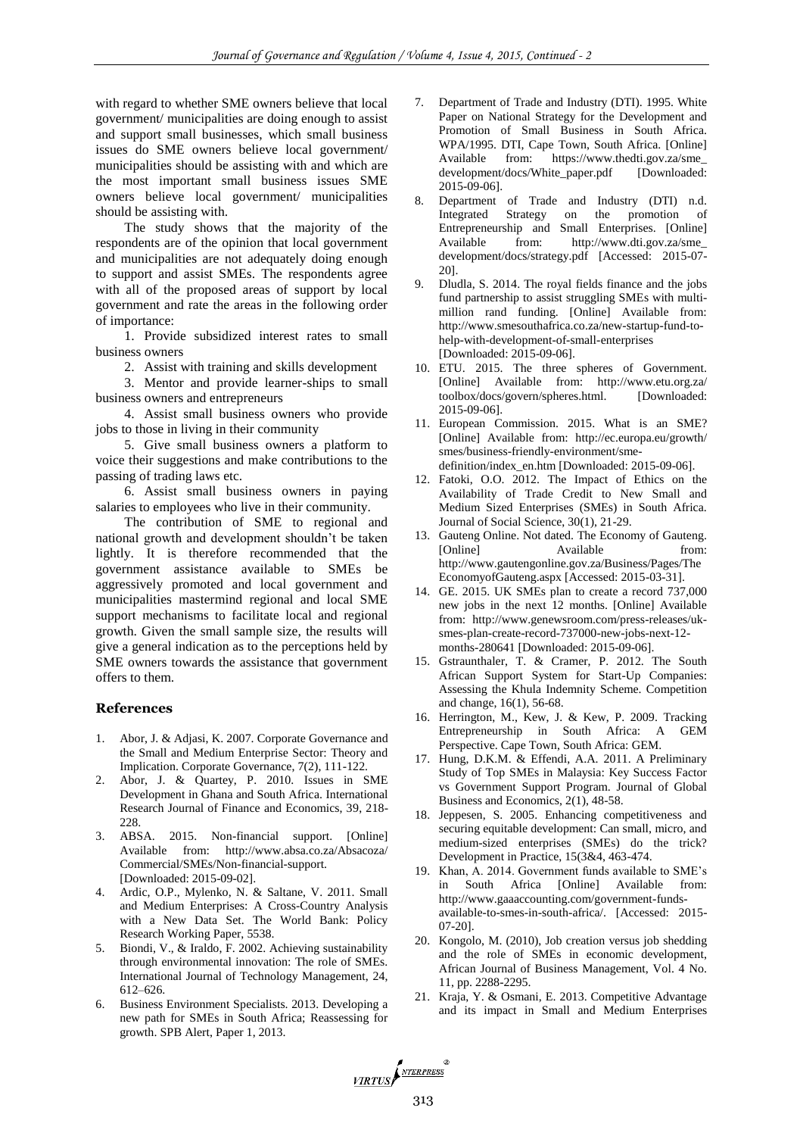with regard to whether SME owners believe that local government/ municipalities are doing enough to assist and support small businesses, which small business issues do SME owners believe local government/ municipalities should be assisting with and which are the most important small business issues SME owners believe local government/ municipalities should be assisting with.

The study shows that the majority of the respondents are of the opinion that local government and municipalities are not adequately doing enough to support and assist SMEs. The respondents agree with all of the proposed areas of support by local government and rate the areas in the following order of importance:

1. Provide subsidized interest rates to small business owners

2. Assist with training and skills development

3. Mentor and provide learner-ships to small business owners and entrepreneurs

4. Assist small business owners who provide jobs to those in living in their community

5. Give small business owners a platform to voice their suggestions and make contributions to the passing of trading laws etc.

6. Assist small business owners in paying salaries to employees who live in their community.

The contribution of SME to regional and national growth and development shouldn't be taken lightly. It is therefore recommended that the government assistance available to SMEs be aggressively promoted and local government and municipalities mastermind regional and local SME support mechanisms to facilitate local and regional growth. Given the small sample size, the results will give a general indication as to the perceptions held by SME owners towards the assistance that government offers to them.

## **References**

- 1. Abor, J. & Adjasi, K. 2007. Corporate Governance and the Small and Medium Enterprise Sector: Theory and Implication. Corporate Governance, 7(2), 111-122.
- 2. Abor, J. & Quartey, P. 2010. Issues in SME Development in Ghana and South Africa. International Research Journal of Finance and Economics, 39, 218- 228.
- 3. ABSA. 2015. Non-financial support. [Online] Available from: http://www.absa.co.za/Absacoza/ Commercial/SMEs/Non-financial-support. [Downloaded: 2015-09-02].
- 4. Ardic, O.P., Mylenko, N. & Saltane, V. 2011. Small and Medium Enterprises: A Cross-Country Analysis with a New Data Set. The World Bank: Policy Research Working Paper, 5538.
- 5. Biondi, V., & Iraldo, F. 2002. Achieving sustainability through environmental innovation: The role of SMEs. International Journal of Technology Management, 24, 612–626.
- 6. Business Environment Specialists. 2013. Developing a new path for SMEs in South Africa; Reassessing for growth. SPB Alert, Paper 1, 2013.
- 7. Department of Trade and Industry (DTI). 1995. White Paper on National Strategy for the Development and Promotion of Small Business in South Africa. WPA/1995. DTI, Cape Town, South Africa. [Online] Available from: https://www.thedti.gov.za/sme\_ development/docs/White\_paper.pdf [Downloaded: 2015-09-06].
- 8. Department of Trade and Industry (DTI) n.d. Integrated Strategy on the promotion of Entrepreneurship and Small Enterprises. [Online] Available from: http://www.dti.gov.za/sme\_ development/docs/strategy.pdf [Accessed: 2015-07- 20].
- 9. Dludla, S. 2014. The royal fields finance and the jobs fund partnership to assist struggling SMEs with multimillion rand funding. [Online] Available from: http://www.smesouthafrica.co.za/new-startup-fund-tohelp-with-development-of-small-enterprises [Downloaded: 2015-09-06].
- 10. ETU. 2015. The three spheres of Government. [Online] Available from: http://www.etu.org.za/ toolbox/docs/govern/spheres.html. [Downloaded: 2015-09-06].
- 11. European Commission. 2015. What is an SME? [Online] Available from: http://ec.europa.eu/growth/ smes/business-friendly-environment/smedefinition/index\_en.htm [Downloaded: 2015-09-06].
- 12. Fatoki, O.O. 2012. The Impact of Ethics on the Availability of Trade Credit to New Small and Medium Sized Enterprises (SMEs) in South Africa. Journal of Social Science, 30(1), 21-29.
- 13. Gauteng Online. Not dated. The Economy of Gauteng. [Online] Available from: http://www.gautengonline.gov.za/Business/Pages/The EconomyofGauteng.aspx [Accessed: 2015-03-31].
- 14. GE. 2015. UK SMEs plan to create a record 737,000 new jobs in the next 12 months. [Online] Available from: http://www.genewsroom.com/press-releases/uksmes-plan-create-record-737000-new-jobs-next-12 months-280641 [Downloaded: 2015-09-06].
- 15. Gstraunthaler, T. & Cramer, P. 2012. The South African Support System for Start-Up Companies: Assessing the Khula Indemnity Scheme. Competition and change, 16(1), 56-68.
- 16. Herrington, M., Kew, J. & Kew, P. 2009. Tracking Entrepreneurship in South Africa: A GEM Perspective. Cape Town, South Africa: GEM.
- 17. Hung, D.K.M. & Effendi, A.A. 2011. A Preliminary Study of Top SMEs in Malaysia: Key Success Factor vs Government Support Program. Journal of Global Business and Economics, 2(1), 48-58.
- 18. Jeppesen, S. 2005. Enhancing competitiveness and securing equitable development: Can small, micro, and medium-sized enterprises (SMEs) do the trick? Development in Practice, 15(3&4, 463-474.
- 19. Khan, A. 2014. Government funds available to SME's in South Africa [Online] Available from: http://www.gaaaccounting.com/government-fundsavailable-to-smes-in-south-africa/. [Accessed: 2015- 07-20].
- 20. Kongolo, M. (2010), Job creation versus job shedding and the role of SMEs in economic development, African Journal of Business Management, Vol. 4 No. 11, pp. 2288-2295.
- 21. Kraja, Y. & Osmani, E. 2013. Competitive Advantage and its impact in Small and Medium Enterprises

VIRTUS